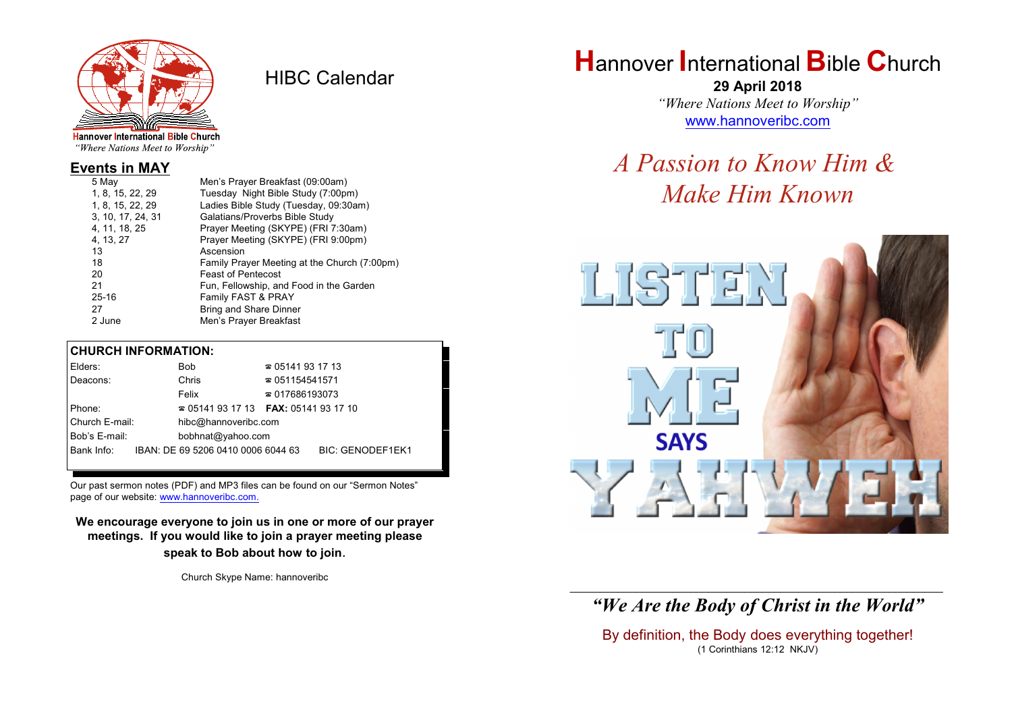

HIBC Calendar

"Where Nations Meet to Worship"

## **Events in MAY**

| 5 May             | Men's Prayer Breakfast (09:00am)             |
|-------------------|----------------------------------------------|
| 1, 8, 15, 22, 29  | Tuesday Night Bible Study (7:00pm)           |
| 1, 8, 15, 22, 29  | Ladies Bible Study (Tuesday, 09:30am)        |
| 3, 10, 17, 24, 31 | Galatians/Proverbs Bible Study               |
| 4, 11, 18, 25     | Prayer Meeting (SKYPE) (FRI 7:30am)          |
| 4, 13, 27         | Prayer Meeting (SKYPE) (FRI 9:00pm)          |
| 13                | Ascension                                    |
| 18                | Family Prayer Meeting at the Church (7:00pm) |
| 20                | <b>Feast of Pentecost</b>                    |
| 21                | Fun, Fellowship, and Food in the Garden      |
| $25 - 16$         | Family FAST & PRAY                           |
| 27                | <b>Bring and Share Dinner</b>                |
| 2 June            | Men's Prayer Breakfast                       |
|                   |                                              |

## **CHURCH INFORMATION:**

| Elders:        | Bob                                           | $\approx 05141931713$  |                         |  |
|----------------|-----------------------------------------------|------------------------|-------------------------|--|
| Deacons:       | Chris                                         | $\approx 051154541571$ |                         |  |
|                | Felix                                         | $\approx 017686193073$ |                         |  |
| Phone:         | $\approx 05141931713$ FAX: 0514193 17 10      |                        |                         |  |
| Church E-mail: | hibc@hannoveribc.com                          |                        |                         |  |
| Bob's E-mail:  | bobhnat@yahoo.com                             |                        |                         |  |
|                | Bank Info: IBAN: DE 69 5206 0410 0006 6044 63 |                        | <b>BIC: GENODEF1EK1</b> |  |
|                |                                               |                        |                         |  |

Our past sermon notes (PDF) and MP3 files can be found on our "Sermon Notes" page of our website: [www.hannoveribc.com.](http://www.hannoveribc.com.)

## **We encourage everyone to join us in one or more of our prayer meetings. If you would like to join a prayer meeting please speak to Bob about how to join**.

Church Skype Name: hannoveribc

# **H**annover **I**nternational **B**ible **C**hurch

**29 April 2018** *"Where Nations Meet to Worship"* [www.hannoveribc.com](http://www.hannoveribc.com)

## *A Passion to Know Him & Make Him Known*



## \_\_\_\_\_\_\_\_\_\_\_\_\_\_\_\_\_\_\_\_\_\_\_\_\_\_\_\_\_\_\_\_\_\_\_\_\_\_\_\_\_\_\_\_\_\_\_\_\_\_\_\_\_\_\_\_\_\_\_\_\_\_ *"We Are the Body of Christ in the World"*

By definition, the Body does everything together! (1 Corinthians 12:12 NKJV)